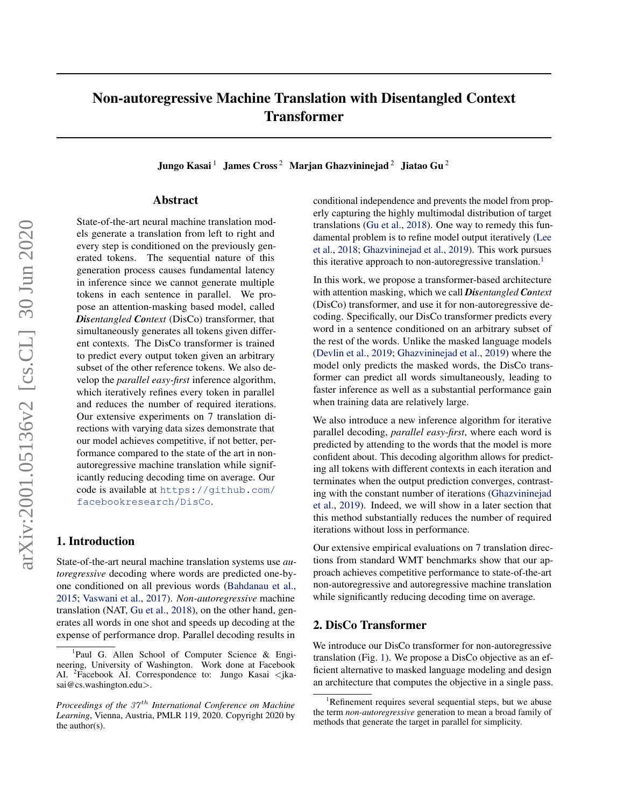# Non-autoregressive Machine Translation with Disentangled Context Transformer

Jungo Kasai<sup>1</sup> James Cross<sup>2</sup> Marjan Ghazvininejad<sup>2</sup> Jiatao Gu<sup>2</sup>

## Abstract

State-of-the-art neural machine translation models generate a translation from left to right and every step is conditioned on the previously generated tokens. The sequential nature of this generation process causes fundamental latency in inference since we cannot generate multiple tokens in each sentence in parallel. We propose an attention-masking based model, called *Disentangled Context* (DisCo) transformer, that simultaneously generates all tokens given different contexts. The DisCo transformer is trained to predict every output token given an arbitrary subset of the other reference tokens. We also develop the *parallel easy-first* inference algorithm, which iteratively refines every token in parallel and reduces the number of required iterations. Our extensive experiments on 7 translation directions with varying data sizes demonstrate that our model achieves competitive, if not better, performance compared to the state of the art in nonautoregressive machine translation while significantly reducing decoding time on average. Our code is available at [https://github.com/](https://github.com/facebookresearch/DisCo) [facebookresearch/DisCo](https://github.com/facebookresearch/DisCo).

# 1. Introduction

State-of-the-art neural machine translation systems use *autoregressive* decoding where words are predicted one-byone conditioned on all previous words [\(Bahdanau et al.,](#page-9-0) [2015;](#page-9-0) [Vaswani et al.,](#page-10-0) [2017\)](#page-10-0). *Non-autoregressive* machine translation (NAT, [Gu et al.,](#page-9-0) [2018\)](#page-9-0), on the other hand, generates all words in one shot and speeds up decoding at the expense of performance drop. Parallel decoding results in

conditional independence and prevents the model from properly capturing the highly multimodal distribution of target translations [\(Gu et al.,](#page-9-0) [2018\)](#page-9-0). One way to remedy this fundamental problem is to refine model output iteratively [\(Lee](#page-9-0) [et al.,](#page-9-0) [2018;](#page-9-0) [Ghazvininejad et al.,](#page-9-0) [2019\)](#page-9-0). This work pursues this iterative approach to non-autoregressive translation.<sup>1</sup>

In this work, we propose a transformer-based architecture with attention masking, which we call *Disentangled Context* (DisCo) transformer, and use it for non-autoregressive decoding. Specifically, our DisCo transformer predicts every word in a sentence conditioned on an arbitrary subset of the rest of the words. Unlike the masked language models [\(Devlin et al.,](#page-9-0) [2019;](#page-9-0) [Ghazvininejad et al.,](#page-9-0) [2019\)](#page-9-0) where the model only predicts the masked words, the DisCo transformer can predict all words simultaneously, leading to faster inference as well as a substantial performance gain when training data are relatively large.

We also introduce a new inference algorithm for iterative parallel decoding, *parallel easy-first*, where each word is predicted by attending to the words that the model is more confident about. This decoding algorithm allows for predicting all tokens with different contexts in each iteration and terminates when the output prediction converges, contrasting with the constant number of iterations [\(Ghazvininejad](#page-9-0) [et al.,](#page-9-0) [2019\)](#page-9-0). Indeed, we will show in a later section that this method substantially reduces the number of required iterations without loss in performance.

Our extensive empirical evaluations on 7 translation directions from standard WMT benchmarks show that our approach achieves competitive performance to state-of-the-art non-autoregressive and autoregressive machine translation while significantly reducing decoding time on average.

# 2. DisCo Transformer

We introduce our DisCo transformer for non-autoregressive translation (Fig. [1\)](#page-1-0). We propose a DisCo objective as an efficient alternative to masked language modeling and design an architecture that computes the objective in a single pass.

<sup>&</sup>lt;sup>1</sup>Paul G. Allen School of Computer Science & Engineering, University of Washington. Work done at Facebook AI. <sup>2</sup>Facebook AI. Correspondence to: Jungo Kasai <jkasai@cs.washington.edu>.

*Proceedings of the 37<sup>th</sup> International Conference on Machine Learning*, Vienna, Austria, PMLR 119, 2020. Copyright 2020 by the author(s).

<sup>&</sup>lt;sup>1</sup>Refinement requires several sequential steps, but we abuse the term *non-autoregressive* generation to mean a broad family of methods that generate the target in parallel for simplicity.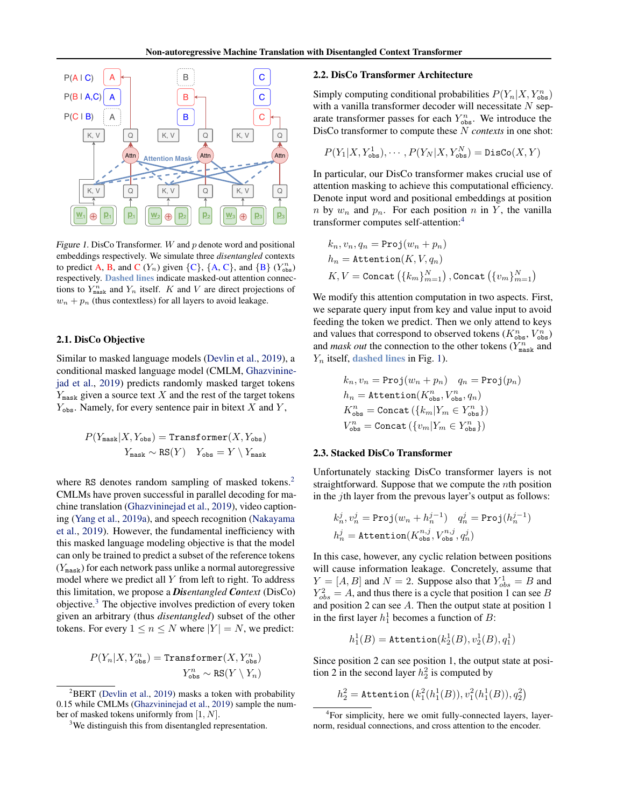<span id="page-1-0"></span>

Figure 1. DisCo Transformer.  $W$  and  $p$  denote word and positional embeddings respectively. We simulate three *disentangled* contexts to predict A, B, and C  $(Y_n)$  given  $\{C\}$ ,  $\{A, C\}$ , and  $\{B\}$   $(Y_{obs}^n)$ respectively. Dashed lines indicate masked-out attention connections to  $Y_{\text{mask}}^n$  and  $Y_n$  itself. K and V are direct projections of  $w_n + p_n$  (thus contextless) for all layers to avoid leakage.

## 2.1. DisCo Objective

Similar to masked language models [\(Devlin et al.,](#page-9-0) [2019\)](#page-9-0), a conditional masked language model (CMLM, [Ghazvinine](#page-9-0)[jad et al.,](#page-9-0) [2019\)](#page-9-0) predicts randomly masked target tokens  $Y_{\text{mask}}$  given a source text  $X$  and the rest of the target tokens  $Y<sub>obs</sub>$ . Namely, for every sentence pair in bitext X and Y,

$$
P(Y_{\text{mask}}|X, Y_{\text{obs}}) = \text{Transformer}(X, Y_{\text{obs}})
$$

$$
Y_{\text{mask}} \sim \text{RS}(Y) \quad Y_{\text{obs}} = Y \setminus Y_{\text{mask}}
$$

where RS denotes random sampling of masked tokens.<sup>2</sup> CMLMs have proven successful in parallel decoding for machine translation [\(Ghazvininejad et al.,](#page-9-0) [2019\)](#page-9-0), video captioning [\(Yang et al.,](#page-11-0) [2019a\)](#page-11-0), and speech recognition [\(Nakayama](#page-10-0) [et al.,](#page-10-0) [2019\)](#page-10-0). However, the fundamental inefficiency with this masked language modeling objective is that the model can only be trained to predict a subset of the reference tokens  $(Y_{\text{mask}})$  for each network pass unlike a normal autoregressive model where we predict all  $Y$  from left to right. To address this limitation, we propose a *Disentangled Context* (DisCo) objective. $3$  The objective involves prediction of every token given an arbitrary (thus *disentangled*) subset of the other tokens. For every  $1 \le n \le N$  where  $|Y| = N$ , we predict:

$$
P(Y_n | X, Y_\text{obs}^n) = \text{Transformer}(X, Y_\text{obs}^n) \\ Y_\text{obs}^n \sim \text{RS}(Y \setminus Y_n)
$$

#### 2.2. DisCo Transformer Architecture

Simply computing conditional probabilities  $P(Y_n|X, Y^n_{obs})$ with a vanilla transformer decoder will necessitate  $N$  separate transformer passes for each  $Y_{\text{obs}}^n$ . We introduce the DisCo transformer to compute these N *contexts* in one shot:

$$
P(Y_1|X, Y_{\text{obs}}^1), \cdots, P(Y_N|X, Y_{\text{obs}}^N) = \text{DisCo}(X, Y)
$$

In particular, our DisCo transformer makes crucial use of attention masking to achieve this computational efficiency. Denote input word and positional embeddings at position n by  $w_n$  and  $p_n$ . For each position n in Y, the vanilla transformer computes self-attention:<sup>4</sup>

$$
k_n, v_n, q_n = \text{Proj}(w_n + p_n)
$$
  
\n
$$
h_n = \text{Attention}(K, V, q_n)
$$
  
\n
$$
K, V = \text{Concat}(\{k_m\}_{m=1}^N), \text{Concat}(\{v_m\}_{m=1}^N)
$$

We modify this attention computation in two aspects. First, we separate query input from key and value input to avoid feeding the token we predict. Then we only attend to keys and values that correspond to observed tokens ( $K_{\text{obs}}^n$ ,  $V_{\text{obs}}^n$ ) and *mask out* the connection to the other tokens ( $Y_{\text{mask}}^n$  and  $Y_n$  itself, dashed lines in Fig. 1).

$$
k_n, v_n = \text{Proj}(w_n + p_n) \quad q_n = \text{Proj}(p_n)
$$
  
\n
$$
h_n = \text{Attention}(K_{\text{obs}}^n, V_{\text{obs}}^n, q_n)
$$
  
\n
$$
K_{\text{obs}}^n = \text{Concat}(\{k_m | Y_m \in Y_{\text{obs}}^n\})
$$
  
\n
$$
V_{\text{obs}}^n = \text{Concat}(\{v_m | Y_m \in Y_{\text{obs}}^n\})
$$

### 2.3. Stacked DisCo Transformer

Unfortunately stacking DisCo transformer layers is not straightforward. Suppose that we compute the nth position in the *j*th layer from the prevous layer's output as follows:

$$
\begin{aligned} &k_n^j, v_n^j = \texttt{Proj}(w_n + h_n^{j-1}) \quad q_n^j = \texttt{Proj}(h_n^{j-1}) \\ &h_n^j = \texttt{Attention}(K_{\text{obs}}^{n,j}, V_{\text{obs}}^{n,j}, q_n^j) \end{aligned}
$$

In this case, however, any cyclic relation between positions will cause information leakage. Concretely, assume that  $Y = [A, B]$  and  $N = 2$ . Suppose also that  $Y_{obs}^1 = B$  and  $Y_{obs}^2 = A$ , and thus there is a cycle that position 1 can see B and position 2 can see A. Then the output state at position 1 in the first layer  $h_1^1$  becomes a function of B:

$$
h_1^1(B) = \texttt{Attention}(k_2^1(B), v_2^1(B), q_1^1)
$$

Since position 2 can see position 1, the output state at position 2 in the second layer  $h_2^2$  is computed by

$$
h_2^2 = \texttt{Attention}\left(k_1^2(h_1^1(B)), v_1^2(h_1^1(B)), q_2^2\right)
$$

 ${}^{2}$ BERT [\(Devlin et al.,](#page-9-0) [2019\)](#page-9-0) masks a token with probability 0.15 while CMLMs [\(Ghazvininejad et al.,](#page-9-0) [2019\)](#page-9-0) sample the number of masked tokens uniformly from [1, N].

<sup>&</sup>lt;sup>3</sup>We distinguish this from disentangled representation.

<sup>4</sup> For simplicity, here we omit fully-connected layers, layernorm, residual connections, and cross attention to the encoder.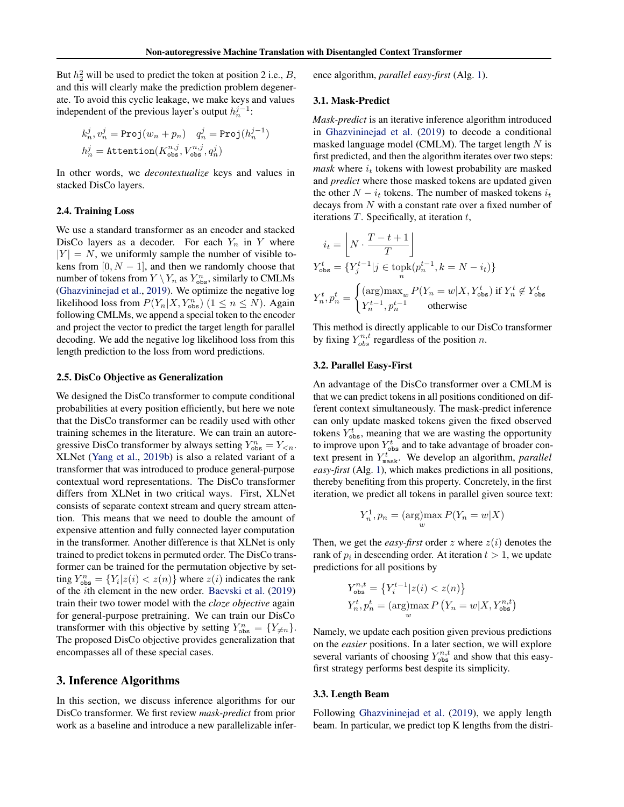<span id="page-2-0"></span>But  $h_2^2$  will be used to predict the token at position 2 i.e., B, and this will clearly make the prediction problem degenerate. To avoid this cyclic leakage, we make keys and values independent of the previous layer's output  $h_n^{j-1}$ :

$$
\begin{aligned} & k_n^j, v_n^j = \texttt{Proj}(w_n + p_n) \quad q_n^j = \texttt{Proj}(h_n^{j-1}) \\ & h_n^j = \texttt{Attention}(K_{\text{obs}}^{n,j}, V_{\text{obs}}^{n,j}, q_n^j) \end{aligned}
$$

In other words, we *decontextualize* keys and values in stacked DisCo layers.

## 2.4. Training Loss

We use a standard transformer as an encoder and stacked DisCo layers as a decoder. For each  $Y_n$  in Y where  $|Y| = N$ , we uniformly sample the number of visible tokens from [0,  $N - 1$ ], and then we randomly choose that number of tokens from  $Y \setminus Y_n$  as  $Y_{\text{obs}}^n$ , similarly to CMLMs [\(Ghazvininejad et al.,](#page-9-0) [2019\)](#page-9-0). We optimize the negative log likelihood loss from  $P(Y_n | X, Y_{obs}^n)$   $(1 \le n \le N)$ . Again following CMLMs, we append a special token to the encoder and project the vector to predict the target length for parallel decoding. We add the negative log likelihood loss from this length prediction to the loss from word predictions.

#### 2.5. DisCo Objective as Generalization

We designed the DisCo transformer to compute conditional probabilities at every position efficiently, but here we note that the DisCo transformer can be readily used with other training schemes in the literature. We can train an autoregressive DisCo transformer by always setting  $Y_{obs}^n = Y_{\leq n}$ . XLNet [\(Yang et al.,](#page-11-0) [2019b\)](#page-11-0) is also a related variant of a transformer that was introduced to produce general-purpose contextual word representations. The DisCo transformer differs from XLNet in two critical ways. First, XLNet consists of separate context stream and query stream attention. This means that we need to double the amount of expensive attention and fully connected layer computation in the transformer. Another difference is that XLNet is only trained to predict tokens in permuted order. The DisCo transformer can be trained for the permutation objective by setting  $Y_{\text{obs}}^n = \{Y_i | z(i) < z(n)\}$  where  $z(i)$  indicates the rank of the ith element in the new order. [Baevski et al.](#page-9-0) [\(2019\)](#page-9-0) train their two tower model with the *cloze objective* again for general-purpose pretraining. We can train our DisCo transformer with this objective by setting  $Y_{\text{obs}}^n = \{Y_{\neq n}\}.$ The proposed DisCo objective provides generalization that encompasses all of these special cases.

# 3. Inference Algorithms

In this section, we discuss inference algorithms for our DisCo transformer. We first review *mask-predict* from prior work as a baseline and introduce a new parallelizable inference algorithm, *parallel easy-first* (Alg. [1\)](#page-3-0).

#### 3.1. Mask-Predict

*Mask-predict* is an iterative inference algorithm introduced in [Ghazvininejad et al.](#page-9-0) [\(2019\)](#page-9-0) to decode a conditional masked language model (CMLM). The target length  $N$  is first predicted, and then the algorithm iterates over two steps: *mask* where  $i_t$  tokens with lowest probability are masked and *predict* where those masked tokens are updated given the other  $N - i_t$  tokens. The number of masked tokens  $i_t$ decays from  $N$  with a constant rate over a fixed number of iterations  $T$ . Specifically, at iteration  $t$ ,

$$
i_t = \left[ N \cdot \frac{T - t + 1}{T} \right]
$$
  
\n
$$
Y_{\text{obs}}^t = \{ Y_j^{t-1} | j \in \text{topk}(p_n^{t-1}, k = N - i_t) \}
$$
  
\n
$$
Y_n^t, p_n^t = \begin{cases} (\text{arg}) \max_w P(Y_n = w | X, Y_{\text{obs}}^t) \text{ if } Y_n^t \notin Y_{\text{obs}}^t \\ Y_n^{t-1}, p_n^{t-1} \quad \text{otherwise} \end{cases}
$$

This method is directly applicable to our DisCo transformer by fixing  $Y_{obs}^{n,t}$  regardless of the position n.

#### 3.2. Parallel Easy-First

An advantage of the DisCo transformer over a CMLM is that we can predict tokens in all positions conditioned on different context simultaneously. The mask-predict inference can only update masked tokens given the fixed observed tokens  $Y_{obs}^t$ , meaning that we are wasting the opportunity to improve upon  $Y_{obs}^t$  and to take advantage of broader context present in  $Y_{\text{mask}}^t$ . We develop an algorithm, *parallel easy-first* (Alg. [1\)](#page-3-0), which makes predictions in all positions, thereby benefiting from this property. Concretely, in the first iteration, we predict all tokens in parallel given source text:

$$
Y_n^1, p_n = (\arg\max_w P(Y_n = w | X)
$$

Then, we get the *easy-first* order z where  $z(i)$  denotes the rank of  $p_i$  in descending order. At iteration  $t > 1$ , we update predictions for all positions by

$$
\begin{aligned} Y_{\text{obs}}^{n,t} &= \left\{Y_i^{t-1} | z(i) < z(n) \right\} \\ Y_n^t, p_n^t &= \left( \underset{w}{\arg} \underset{w}{\max} \, P \left( Y_n = w | X, Y_{\text{obs}}^{n,t} \right) \end{aligned}
$$

Namely, we update each position given previous predictions on the *easier* positions. In a later section, we will explore several variants of choosing  $Y_{obs}^{n,t}$  and show that this easyfirst strategy performs best despite its simplicity.

#### 3.3. Length Beam

Following [Ghazvininejad et al.](#page-9-0) [\(2019\)](#page-9-0), we apply length beam. In particular, we predict top K lengths from the distri-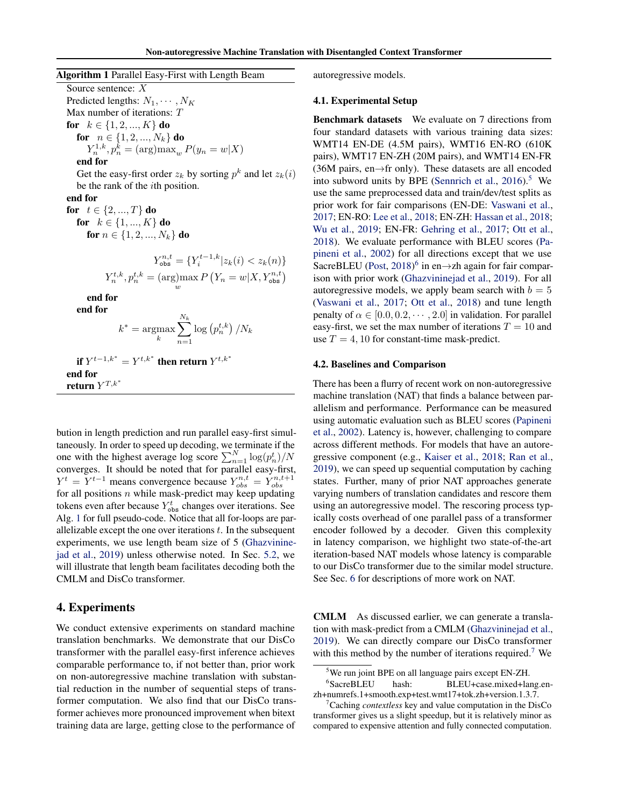<span id="page-3-0"></span>

| <b>Algorithm 1</b> Parallel Easy-First with Length Beam                                                  |
|----------------------------------------------------------------------------------------------------------|
| Source sentence: X                                                                                       |
| Predicted lengths: $N_1, \cdots, N_K$                                                                    |
| Max number of iterations: $T$                                                                            |
| for $k \in \{1, 2, , K\}$ do                                                                             |
| for $n \in \{1, 2, , N_k\}$ do                                                                           |
| $Y_n^{1,k}, p_n^k = (\arg \max_{w} P(y_n = w   X)$                                                       |
| end for                                                                                                  |
| Get the easy-first order $z_k$ by sorting $p^k$ and let $z_k(i)$                                         |
| be the rank of the <i>i</i> th position.                                                                 |
| end for                                                                                                  |
| for $t \in \{2, , T\}$ do                                                                                |
| for $k \in \{1, , K\}$ do                                                                                |
| for $n \in \{1, 2, , N_k\}$ do                                                                           |
| $Y_{\text{obs}}^{n,t} = \{Y_i^{t-1,k}   z_k(i) < z_k(n)\}\$                                              |
| $Y_n^{t,k}, p_n^{t,k} = (\arg \max P(Y_n = w   X, Y_{obs}^{n,t})$                                        |
| end for                                                                                                  |
| end for                                                                                                  |
| $k^* = \operatornamewithlimits{argmax}\limits_{k} \sum\limits_{k}^{N_k} \log \left(p^{t,k}_n\right)/N_k$ |
| if $Y^{t-1,k^*} = Y^{t,k^*}$ then return $Y^{t,k^*}$                                                     |
| end for<br>return $Y^{T,k^\ast}$                                                                         |
|                                                                                                          |

bution in length prediction and run parallel easy-first simultaneously. In order to speed up decoding, we terminate if the one with the highest average log score  $\sum_{n=1}^{N} \log(p_n^t)/N$ converges. It should be noted that for parallel easy-first,  $Y^t = Y^{t-1}$  means convergence because  $Y_{obs}^{n,t} = Y_{obs}^{n,t+1}$ for all positions  $n$  while mask-predict may keep updating tokens even after because  $Y_{\text{obs}}^t$  changes over iterations. See Alg. 1 for full pseudo-code. Notice that all for-loops are parallelizable except the one over iterations  $t$ . In the subsequent experiments, we use length beam size of 5 [\(Ghazvinine](#page-9-0)[jad et al.,](#page-9-0) [2019\)](#page-9-0) unless otherwise noted. In Sec. [5.2,](#page-7-0) we will illustrate that length beam facilitates decoding both the CMLM and DisCo transformer.

# 4. Experiments

We conduct extensive experiments on standard machine translation benchmarks. We demonstrate that our DisCo transformer with the parallel easy-first inference achieves comparable performance to, if not better than, prior work on non-autoregressive machine translation with substantial reduction in the number of sequential steps of transformer computation. We also find that our DisCo transformer achieves more pronounced improvement when bitext training data are large, getting close to the performance of autoregressive models.

#### 4.1. Experimental Setup

Benchmark datasets We evaluate on 7 directions from four standard datasets with various training data sizes: WMT14 EN-DE (4.5M pairs), WMT16 EN-RO (610K pairs), WMT17 EN-ZH (20M pairs), and WMT14 EN-FR (36M pairs, en→fr only). These datasets are all encoded into subword units by BPE [\(Sennrich et al.,](#page-10-0)  $2016$ ).<sup>5</sup> We use the same preprocessed data and train/dev/test splits as prior work for fair comparisons (EN-DE: [Vaswani et al.,](#page-10-0) [2017;](#page-10-0) EN-RO: [Lee et al.,](#page-9-0) [2018;](#page-9-0) EN-ZH: [Hassan et al.,](#page-9-0) [2018;](#page-9-0) [Wu et al.,](#page-10-0) [2019;](#page-10-0) EN-FR: [Gehring et al.,](#page-9-0) [2017;](#page-9-0) [Ott et al.,](#page-10-0) [2018\)](#page-10-0). We evaluate performance with BLEU scores [\(Pa](#page-10-0)[pineni et al.,](#page-10-0) [2002\)](#page-10-0) for all directions except that we use SacreBLEU [\(Post,](#page-10-0) [2018\)](#page-10-0)<sup>6</sup> in en→zh again for fair comparison with prior work [\(Ghazvininejad et al.,](#page-9-0) [2019\)](#page-9-0). For all autoregressive models, we apply beam search with  $b = 5$ [\(Vaswani et al.,](#page-10-0) [2017;](#page-10-0) [Ott et al.,](#page-10-0) [2018\)](#page-10-0) and tune length penalty of  $\alpha \in [0.0, 0.2, \dots, 2.0]$  in validation. For parallel easy-first, we set the max number of iterations  $T = 10$  and use  $T = 4, 10$  for constant-time mask-predict.

#### 4.2. Baselines and Comparison

There has been a flurry of recent work on non-autoregressive machine translation (NAT) that finds a balance between parallelism and performance. Performance can be measured using automatic evaluation such as BLEU scores [\(Papineni](#page-10-0) [et al.,](#page-10-0) [2002\)](#page-10-0). Latency is, however, challenging to compare across different methods. For models that have an autoregressive component (e.g., [Kaiser et al.,](#page-9-0) [2018;](#page-9-0) [Ran et al.,](#page-10-0) [2019\)](#page-10-0), we can speed up sequential computation by caching states. Further, many of prior NAT approaches generate varying numbers of translation candidates and rescore them using an autoregressive model. The rescoring process typically costs overhead of one parallel pass of a transformer encoder followed by a decoder. Given this complexity in latency comparison, we highlight two state-of-the-art iteration-based NAT models whose latency is comparable to our DisCo transformer due to the similar model structure. See Sec. [6](#page-7-0) for descriptions of more work on NAT.

CMLM As discussed earlier, we can generate a translation with mask-predict from a CMLM [\(Ghazvininejad et al.,](#page-9-0) [2019\)](#page-9-0). We can directly compare our DisCo transformer with this method by the number of iterations required.<sup>7</sup> We

<sup>&</sup>lt;sup>5</sup>We run joint BPE on all language pairs except EN-ZH.

<sup>&</sup>lt;sup>6</sup>SacreBLEU hash: BLEU+case.mixed+lang.enzh+numrefs.1+smooth.exp+test.wmt17+tok.zh+version.1.3.7.

<sup>7</sup>Caching *contextless* key and value computation in the DisCo transformer gives us a slight speedup, but it is relatively minor as compared to expensive attention and fully connected computation.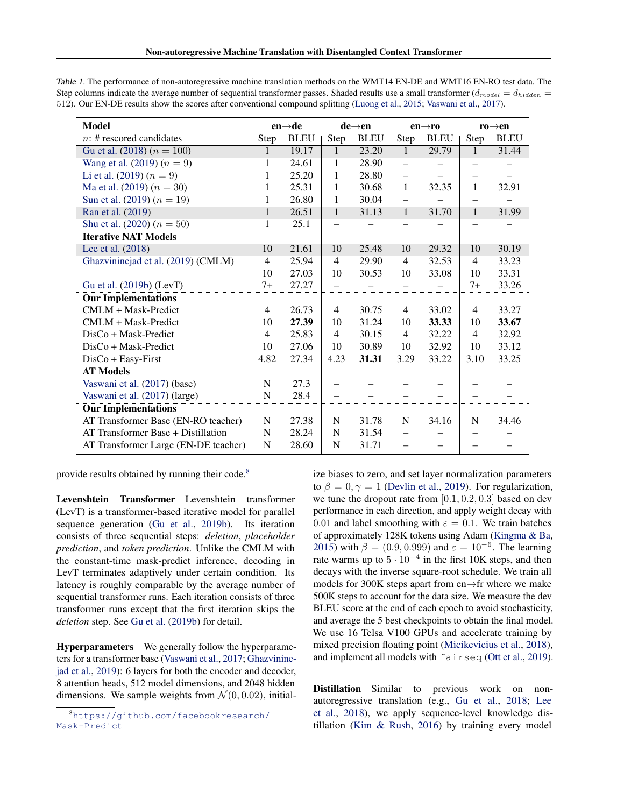| <b>Model</b>                         |                | $en \rightarrow de$ |                | $de\rightarrow en$ | $en \rightarrow ro$      |             | $ro \rightarrow en$      |             |
|--------------------------------------|----------------|---------------------|----------------|--------------------|--------------------------|-------------|--------------------------|-------------|
| $n$ : # rescored candidates          | Step           | <b>BLEU</b>         | Step           | <b>BLEU</b>        | <b>Step</b>              | <b>BLEU</b> | Step                     | <b>BLEU</b> |
| Gu et al. (2018) ( $n = 100$ )       | $\mathbf{1}$   | 19.17               | $\mathbf{1}$   | 23.20              | $\mathbf{1}$             | 29.79       | $\mathbf{1}$             | 31.44       |
| Wang et al. $(2019) (n = 9)$         | 1              | 24.61               | 1              | 28.90              | $\equiv$                 |             | $\overline{\phantom{0}}$ |             |
| Li et al. $(2019) (n = 9)$           | 1              | 25.20               | 1              | 28.80              | $\overline{\phantom{0}}$ |             |                          |             |
| Ma et al. $(2019) (n = 30)$          | 1              | 25.31               | 1              | 30.68              | $\mathbf{1}$             | 32.35       | 1                        | 32.91       |
| Sun et al. $(2019) (n = 19)$         | 1              | 26.80               | 1              | 30.04              | $\overline{\phantom{0}}$ |             | $\overline{\phantom{0}}$ |             |
| Ran et al. (2019)                    | 1              | 26.51               | $\mathbf{1}$   | 31.13              | $\mathbf{1}$             | 31.70       | $\mathbf{1}$             | 31.99       |
| Shu et al. $(2020) (n = 50)$         | $\mathbf{1}$   | 25.1                |                |                    |                          |             |                          |             |
| <b>Iterative NAT Models</b>          |                |                     |                |                    |                          |             |                          |             |
| Lee et al. (2018)                    | 10             | 21.61               | 10             | 25.48              | 10                       | 29.32       | 10                       | 30.19       |
| Ghazvininejad et al. (2019) (CMLM)   | $\overline{4}$ | 25.94               | $\overline{4}$ | 29.90              | $\overline{4}$           | 32.53       | $\overline{4}$           | 33.23       |
|                                      | 10             | 27.03               | 10             | 30.53              | 10                       | 33.08       | 10                       | 33.31       |
| Gu et al. (2019b) (LevT)             | $7+$           | 27.27               |                |                    |                          |             | $7+$                     | 33.26       |
| <b>Our Implementations</b>           |                |                     |                |                    |                          |             |                          |             |
| $CMLM + Mask-Predict$                | $\overline{4}$ | 26.73               | 4              | 30.75              | $\overline{4}$           | 33.02       | $\overline{4}$           | 33.27       |
| CMLM + Mask-Predict                  | 10             | 27.39               | 10             | 31.24              | 10                       | 33.33       | 10                       | 33.67       |
| DisCo + Mask-Predict                 | $\overline{4}$ | 25.83               | $\overline{4}$ | 30.15              | 4                        | 32.22       | $\overline{4}$           | 32.92       |
| DisCo + Mask-Predict                 | 10             | 27.06               | 10             | 30.89              | 10                       | 32.92       | 10                       | 33.12       |
| $DisCo + Easy-First$                 | 4.82           | 27.34               | 4.23           | 31.31              | 3.29                     | 33.22       | 3.10                     | 33.25       |
| <b>AT Models</b>                     |                |                     |                |                    |                          |             |                          |             |
| Vaswani et al. (2017) (base)         | N              | 27.3                |                |                    |                          |             |                          |             |
| Vaswani et al. (2017) (large)        | ${\bf N}$      | 28.4                |                |                    |                          |             |                          |             |
| <b>Our Implementations</b>           |                |                     |                |                    |                          |             |                          |             |
| AT Transformer Base (EN-RO teacher)  | $\mathbf N$    | 27.38               | $\mathbf N$    | 31.78              | N                        | 34.16       | $\mathbf N$              | 34.46       |
| AT Transformer Base + Distillation   | N              | 28.24               | N              | 31.54              | -                        |             |                          |             |
| AT Transformer Large (EN-DE teacher) | N              | 28.60               | $\mathbf N$    | 31.71              | $\overline{\phantom{0}}$ |             |                          |             |

<span id="page-4-0"></span>Table 1. The performance of non-autoregressive machine translation methods on the WMT14 EN-DE and WMT16 EN-RO test data. The Step columns indicate the average number of sequential transformer passes. Shaded results use a small transformer  $(d_{model} = d_{hidden}$ 512). Our EN-DE results show the scores after conventional compound splitting [\(Luong et al.,](#page-10-0) [2015;](#page-10-0) [Vaswani et al.,](#page-10-0) [2017\)](#page-10-0).

provide results obtained by running their code.<sup>8</sup>

Levenshtein Transformer Levenshtein transformer (LevT) is a transformer-based iterative model for parallel sequence generation [\(Gu et al.,](#page-9-0) [2019b\)](#page-9-0). Its iteration consists of three sequential steps: *deletion*, *placeholder prediction*, and *token prediction*. Unlike the CMLM with the constant-time mask-predict inference, decoding in LevT terminates adaptively under certain condition. Its latency is roughly comparable by the average number of sequential transformer runs. Each iteration consists of three transformer runs except that the first iteration skips the *deletion* step. See [Gu et al.](#page-9-0) [\(2019b\)](#page-9-0) for detail.

Hyperparameters We generally follow the hyperparameters for a transformer base [\(Vaswani et al.,](#page-10-0) [2017;](#page-10-0) [Ghazvinine](#page-9-0)[jad et al.,](#page-9-0) [2019\)](#page-9-0): 6 layers for both the encoder and decoder, 8 attention heads, 512 model dimensions, and 2048 hidden dimensions. We sample weights from  $\mathcal{N}(0, 0.02)$ , initialize biases to zero, and set layer normalization parameters to  $\beta = 0, \gamma = 1$  [\(Devlin et al.,](#page-9-0) [2019\)](#page-9-0). For regularization, we tune the dropout rate from  $[0.1, 0.2, 0.3]$  based on dev performance in each direction, and apply weight decay with 0.01 and label smoothing with  $\varepsilon = 0.1$ . We train batches of approximately 128K tokens using Adam [\(Kingma & Ba,](#page-9-0) [2015\)](#page-9-0) with  $\beta = (0.9, 0.999)$  and  $\varepsilon = 10^{-6}$ . The learning rate warms up to  $5 \cdot 10^{-4}$  in the first 10K steps, and then decays with the inverse square-root schedule. We train all models for 300K steps apart from en→fr where we make 500K steps to account for the data size. We measure the dev BLEU score at the end of each epoch to avoid stochasticity, and average the 5 best checkpoints to obtain the final model. We use 16 Telsa V100 GPUs and accelerate training by mixed precision floating point [\(Micikevicius et al.,](#page-10-0) [2018\)](#page-10-0), and implement all models with fairseq [\(Ott et al.,](#page-10-0) [2019\)](#page-10-0).

Distillation Similar to previous work on nonautoregressive translation (e.g., [Gu et al.,](#page-9-0) [2018;](#page-9-0) [Lee](#page-9-0) [et al.,](#page-9-0) [2018\)](#page-9-0), we apply sequence-level knowledge distillation [\(Kim & Rush,](#page-9-0) [2016\)](#page-9-0) by training every model

<sup>8</sup>[https://github.com/facebookresearch/](https://github.com/facebookresearch/Mask-Predict) [Mask-Predict](https://github.com/facebookresearch/Mask-Predict)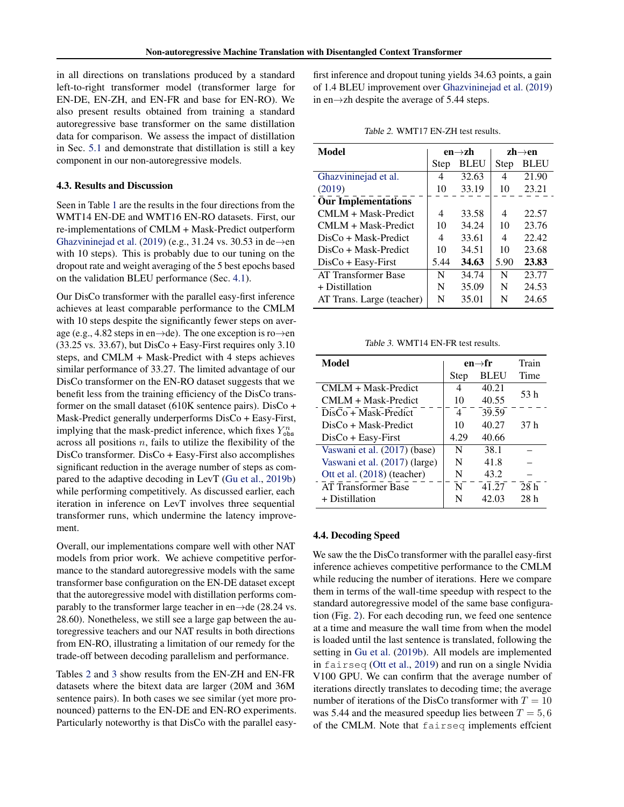in all directions on translations produced by a standard left-to-right transformer model (transformer large for EN-DE, EN-ZH, and EN-FR and base for EN-RO). We also present results obtained from training a standard autoregressive base transformer on the same distillation data for comparison. We assess the impact of distillation in Sec. [5.1](#page-6-0) and demonstrate that distillation is still a key component in our non-autoregressive models.

#### 4.3. Results and Discussion

Seen in Table [1](#page-4-0) are the results in the four directions from the WMT14 EN-DE and WMT16 EN-RO datasets. First, our re-implementations of CMLM + Mask-Predict outperform [Ghazvininejad et al.](#page-9-0) [\(2019\)](#page-9-0) (e.g., 31.24 vs. 30.53 in de $\rightarrow$ en with 10 steps). This is probably due to our tuning on the dropout rate and weight averaging of the 5 best epochs based on the validation BLEU performance (Sec. [4.1\)](#page-3-0).

Our DisCo transformer with the parallel easy-first inference achieves at least comparable performance to the CMLM with 10 steps despite the significantly fewer steps on average (e.g., 4.82 steps in en $\rightarrow$ de). The one exception is ro $\rightarrow$ en (33.25 vs. 33.67), but DisCo + Easy-First requires only 3.10 steps, and CMLM + Mask-Predict with 4 steps achieves similar performance of 33.27. The limited advantage of our DisCo transformer on the EN-RO dataset suggests that we benefit less from the training efficiency of the DisCo transformer on the small dataset (610K sentence pairs). DisCo + Mask-Predict generally underperforms DisCo + Easy-First, implying that the mask-predict inference, which fixes  $Y_{\text{obs}}^n$ across all positions  $n$ , fails to utilize the flexibility of the DisCo transformer. DisCo + Easy-First also accomplishes significant reduction in the average number of steps as compared to the adaptive decoding in LevT [\(Gu et al.,](#page-9-0) [2019b\)](#page-9-0) while performing competitively. As discussed earlier, each iteration in inference on LevT involves three sequential transformer runs, which undermine the latency improvement.

Overall, our implementations compare well with other NAT models from prior work. We achieve competitive performance to the standard autoregressive models with the same transformer base configuration on the EN-DE dataset except that the autoregressive model with distillation performs comparably to the transformer large teacher in en $\rightarrow$ de (28.24 vs. 28.60). Nonetheless, we still see a large gap between the autoregressive teachers and our NAT results in both directions from EN-RO, illustrating a limitation of our remedy for the trade-off between decoding parallelism and performance.

Tables 2 and 3 show results from the EN-ZH and EN-FR datasets where the bitext data are larger (20M and 36M sentence pairs). In both cases we see similar (yet more pronounced) patterns to the EN-DE and EN-RO experiments. Particularly noteworthy is that DisCo with the parallel easy-

first inference and dropout tuning yields 34.63 points, a gain of 1.4 BLEU improvement over [Ghazvininejad et al.](#page-9-0) [\(2019\)](#page-9-0) in en→zh despite the average of 5.44 steps.

Table 2. WMT17 EN-ZH test results.

| <b>Model</b>               |      | $en \rightarrow zh$ | $z h \rightarrow en$ |             |
|----------------------------|------|---------------------|----------------------|-------------|
|                            | Step | <b>BLEU</b>         | Step                 | <b>BLEU</b> |
| Ghazvininejad et al.       | 4    | 32.63               | 4                    | 21.90       |
| (2019)                     | 10   | 33.19               | 10                   | 23.21       |
| <b>Our Implementations</b> |      |                     |                      |             |
| $CMI.M + Mask-Predict$     | 4    | 33.58               | 4                    | 22.57       |
| $CMLM + Mask-Predict$      | 10   | 34.24               | 10                   | 23.76       |
| $DisCo + Mask-Predict$     | 4    | 33.61               | 4                    | 22.42       |
| $DisCo + Mask-Predict$     | 10   | 34.51               | 10                   | 23.68       |
| $DisCo + Easy-First$       | 5.44 | 34.63               | 5.90                 | 23.83       |
| <b>AT Transformer Base</b> | N    | 34.74               | N                    | 23.77       |
| + Distillation             | N    | 35.09               | N                    | 24.53       |
| AT Trans. Large (teacher)  | N    | 35.01               | N                    | 24.65       |

Table 3. WMT14 EN-FR test results.

| Model                         |      | en→fr       |                 |  |
|-------------------------------|------|-------------|-----------------|--|
|                               | Step | <b>BLEU</b> | Time            |  |
| $CMLM + Mask-Predict$         | 4    | 40.21       | 53 h            |  |
| $CMLM + Mask-Predict$         | 10   | 40.55       |                 |  |
| $DisCo + Mask-Predict$        | 4    | 39.59       |                 |  |
| $DisCo + Mask-Predict$        | 10   | 40.27       | 37 h            |  |
| $DisCo + Easy-First$          | 4.29 | 40.66       |                 |  |
| Vaswani et al. (2017) (base)  | N    | 38.1        |                 |  |
| Vaswani et al. (2017) (large) | N    | 41.8        |                 |  |
| Ott et al. (2018) (teacher)   | N    | 43.2        |                 |  |
| <b>AT Transformer Base</b>    | N    | 41.27       | 28 <sub>h</sub> |  |
| + Distillation                | N    | 42.03       | 28 <sub>h</sub> |  |

#### 4.4. Decoding Speed

We saw the the DisCo transformer with the parallel easy-first inference achieves competitive performance to the CMLM while reducing the number of iterations. Here we compare them in terms of the wall-time speedup with respect to the standard autoregressive model of the same base configuration (Fig. [2\)](#page-6-0). For each decoding run, we feed one sentence at a time and measure the wall time from when the model is loaded until the last sentence is translated, following the setting in [Gu et al.](#page-9-0) [\(2019b\)](#page-9-0). All models are implemented in fairseq [\(Ott et al.,](#page-10-0) [2019\)](#page-10-0) and run on a single Nvidia V100 GPU. We can confirm that the average number of iterations directly translates to decoding time; the average number of iterations of the DisCo transformer with  $T = 10$ was 5.44 and the measured speedup lies between  $T = 5, 6$ of the CMLM. Note that fairseq implements effcient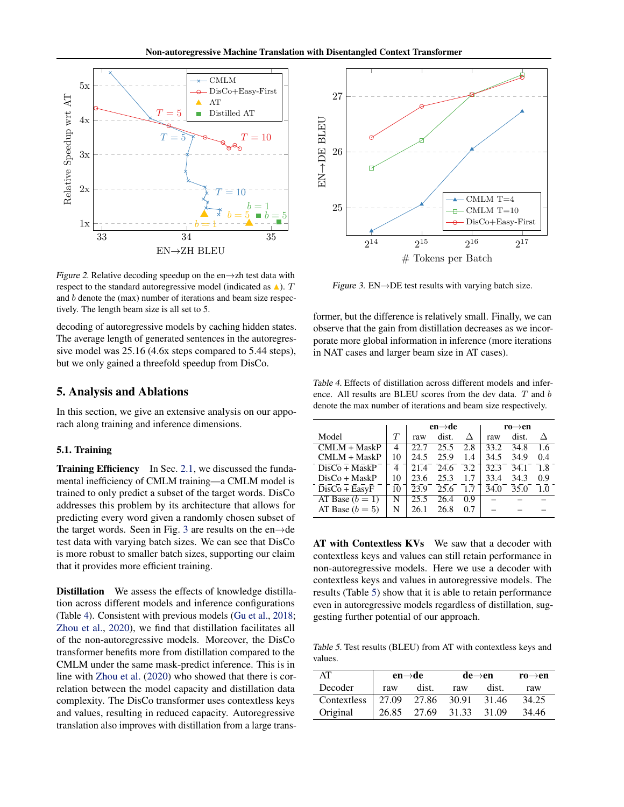<span id="page-6-0"></span>

Figure 2. Relative decoding speedup on the en $\rightarrow$ zh test data with respect to the standard autoregressive model (indicated as  $\blacktriangle$ ). T and b denote the (max) number of iterations and beam size respectively. The length beam size is all set to 5.

decoding of autoregressive models by caching hidden states. The average length of generated sentences in the autoregressive model was 25.16 (4.6x steps compared to 5.44 steps), but we only gained a threefold speedup from DisCo.

# 5. Analysis and Ablations

In this section, we give an extensive analysis on our apporach along training and inference dimensions.

#### 5.1. Training

Training Efficiency In Sec. [2.1,](#page-1-0) we discussed the fundamental inefficiency of CMLM training—a CMLM model is trained to only predict a subset of the target words. DisCo addresses this problem by its architecture that allows for predicting every word given a randomly chosen subset of the target words. Seen in Fig. 3 are results on the en $\rightarrow$ de test data with varying batch sizes. We can see that DisCo is more robust to smaller batch sizes, supporting our claim that it provides more efficient training.

Distillation We assess the effects of knowledge distillation across different models and inference configurations (Table 4). Consistent with previous models [\(Gu et al.,](#page-9-0) [2018;](#page-9-0) [Zhou et al.,](#page-11-0) [2020\)](#page-11-0), we find that distillation facilitates all of the non-autoregressive models. Moreover, the DisCo transformer benefits more from distillation compared to the CMLM under the same mask-predict inference. This is in line with [Zhou et al.](#page-11-0) [\(2020\)](#page-11-0) who showed that there is correlation between the model capacity and distillation data complexity. The DisCo transformer uses contextless keys and values, resulting in reduced capacity. Autoregressive translation also improves with distillation from a large trans-



Figure 3. EN→DE test results with varying batch size.

former, but the difference is relatively small. Finally, we can observe that the gain from distillation decreases as we incorporate more global information in inference (more iterations in NAT cases and larger beam size in AT cases).

Table 4. Effects of distillation across different models and inference. All results are BLEU scores from the dev data. T and b denote the max number of iterations and beam size respectively.

|                            |    |      | $en \rightarrow de$ |     | $ro \rightarrow en$ |       |     |  |
|----------------------------|----|------|---------------------|-----|---------------------|-------|-----|--|
| Model                      | T  | raw  | dist.               | Л   | raw                 | dist. |     |  |
| $CMLM + MaskP$             | 4  | 22.7 | 25.5                | 2.8 | 33.2                | 34.8  | 1.6 |  |
| $CMLM + MaskP$             | 10 | 24.5 | 25.9                | 1.4 | 34.5                | 34.9  | 0.4 |  |
| $DisCo + MaskP$            | 4  | 21.4 | 24.6                | 3.2 | 32.3                | 34.1  | 1.8 |  |
| $DisCo + MaskP$            | 10 | 23.6 | 25.3                | 1.7 | 33.4                | 34.3  | 0.9 |  |
| $\overline{DisCo + EasyF}$ | 10 | 23.9 | 25.6                | 1.7 | 34.0                | 35.0  | 1.0 |  |
| AT Base $(b = 1)$          | N  | 25.5 | 26.4                | 0.9 |                     |       |     |  |
| AT Base $(b = 5)$          | N  | 26.1 | 26.8                | 0.7 |                     |       |     |  |

AT with Contextless KVs We saw that a decoder with contextless keys and values can still retain performance in non-autoregressive models. Here we use a decoder with contextless keys and values in autoregressive models. The results (Table 5) show that it is able to retain performance even in autoregressive models regardless of distillation, suggesting further potential of our approach.

Table 5. Test results (BLEU) from AT with contextless keys and values.

| AT          | $en \rightarrow de$       |       | de→en | $ro \rightarrow en$ |       |
|-------------|---------------------------|-------|-------|---------------------|-------|
| Decoder     | raw                       | dist. | raw   | dist.               | raw   |
| Contextless | $\vert$ 27.09 27.86 30.91 |       |       | 31.46               | 34.25 |
| Original    | 26.85                     | 27.69 | 31.33 | 31.09               | 34.46 |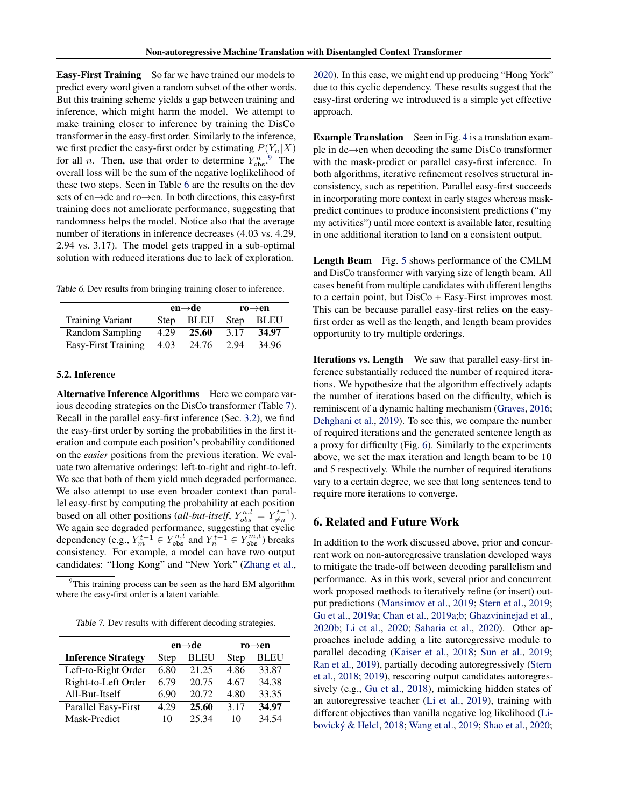<span id="page-7-0"></span>Easy-First Training So far we have trained our models to predict every word given a random subset of the other words. But this training scheme yields a gap between training and inference, which might harm the model. We attempt to make training closer to inference by training the DisCo transformer in the easy-first order. Similarly to the inference, we first predict the easy-first order by estimating  $P(Y_n|X)$ for all *n*. Then, use that order to determine  $Y_{\text{obs}}^n$ . The overall loss will be the sum of the negative loglikelihood of these two steps. Seen in Table 6 are the results on the dev sets of en→de and ro→en. In both directions, this easy-first training does not ameliorate performance, suggesting that randomness helps the model. Notice also that the average number of iterations in inference decreases (4.03 vs. 4.29, 2.94 vs. 3.17). The model gets trapped in a sub-optimal solution with reduced iterations due to lack of exploration.

Table 6. Dev results from bringing training closer to inference.

|                         |                | $en \rightarrow de$ | $ro \rightarrow en$ |             |  |
|-------------------------|----------------|---------------------|---------------------|-------------|--|
| <b>Training Variant</b> | Step           | <b>BLEU</b>         | Step                | <b>BLEU</b> |  |
| Random Sampling         | 4.29           | 25.60               | 3.17                | 34.97       |  |
| Easy-First Training     | $ 4.03\rangle$ | 24.76               | 2.94                | 34.96       |  |

# 5.2. Inference

Alternative Inference Algorithms Here we compare various decoding strategies on the DisCo transformer (Table 7). Recall in the parallel easy-first inference (Sec. [3.2\)](#page-2-0), we find the easy-first order by sorting the probabilities in the first iteration and compute each position's probability conditioned on the *easier* positions from the previous iteration. We evaluate two alternative orderings: left-to-right and right-to-left. We see that both of them yield much degraded performance. We also attempt to use even broader context than parallel easy-first by computing the probability at each position based on all other positions (*all-but-itself*,  $Y_{obs}^{n,t} = Y_{\neq n}^{t-1}$ ). We again see degraded performance, suggesting that cyclic dependency (e.g.,  $Y_m^{t-1} \in Y_{obs}^{n,t}$  and  $Y_n^{t-1} \in Y_{obs}^{m,t}$ ) breaks consistency. For example, a model can have two output candidates: "Hong Kong" and "New York" [\(Zhang et al.,](#page-11-0)

<sup>9</sup>This training process can be seen as the hard EM algorithm where the easy-first order is a latent variable.

Table 7. Dev results with different decoding strategies.

|                           |      | en $\rightarrow$ de | $ro \rightarrow en$ |       |  |
|---------------------------|------|---------------------|---------------------|-------|--|
| <b>Inference Strategy</b> | Step | BLEU                | Step                | BLEU  |  |
| Left-to-Right Order       | 6.80 | 21.25               | 4.86                | 33.87 |  |
| Right-to-Left Order       | 6.79 | 20.75               | 4.67                | 34.38 |  |
| All-But-Itself            | 6.90 | 20.72               | 4.80                | 33.35 |  |
| Parallel Easy-First       | 4.29 | 25.60               | 3.17                | 34.97 |  |
| Mask-Predict              | 10   | 25.34               | 10                  | 34.54 |  |

[2020\)](#page-11-0). In this case, we might end up producing "Hong York" due to this cyclic dependency. These results suggest that the easy-first ordering we introduced is a simple yet effective approach.

Example Translation Seen in Fig. [4](#page-8-0) is a translation example in de→en when decoding the same DisCo transformer with the mask-predict or parallel easy-first inference. In both algorithms, iterative refinement resolves structural inconsistency, such as repetition. Parallel easy-first succeeds in incorporating more context in early stages whereas maskpredict continues to produce inconsistent predictions ("my my activities") until more context is available later, resulting in one additional iteration to land on a consistent output.

Length Beam Fig. [5](#page-8-0) shows performance of the CMLM and DisCo transformer with varying size of length beam. All cases benefit from multiple candidates with different lengths to a certain point, but DisCo + Easy-First improves most. This can be because parallel easy-first relies on the easyfirst order as well as the length, and length beam provides opportunity to try multiple orderings.

Iterations vs. Length We saw that parallel easy-first inference substantially reduced the number of required iterations. We hypothesize that the algorithm effectively adapts the number of iterations based on the difficulty, which is reminiscent of a dynamic halting mechanism [\(Graves,](#page-9-0) [2016;](#page-9-0) [Dehghani et al.,](#page-9-0) [2019\)](#page-9-0). To see this, we compare the number of required iterations and the generated sentence length as a proxy for difficulty (Fig. [6\)](#page-8-0). Similarly to the experiments above, we set the max iteration and length beam to be 10 and 5 respectively. While the number of required iterations vary to a certain degree, we see that long sentences tend to require more iterations to converge.

# 6. Related and Future Work

In addition to the work discussed above, prior and concurrent work on non-autoregressive translation developed ways to mitigate the trade-off between decoding parallelism and performance. As in this work, several prior and concurrent work proposed methods to iteratively refine (or insert) output predictions [\(Mansimov et al.,](#page-10-0) [2019;](#page-10-0) [Stern et al.,](#page-10-0) [2019;](#page-10-0) [Gu et al.,](#page-9-0) [2019a;](#page-9-0) [Chan et al.,](#page-9-0) [2019a;b;](#page-9-0) [Ghazvininejad et al.,](#page-9-0) [2020b;](#page-9-0) [Li et al.,](#page-9-0) [2020;](#page-9-0) [Saharia et al.,](#page-10-0) [2020\)](#page-10-0). Other approaches include adding a lite autoregressive module to parallel decoding [\(Kaiser et al.,](#page-9-0) [2018;](#page-9-0) [Sun et al.,](#page-10-0) [2019;](#page-10-0) [Ran et al.,](#page-10-0) [2019\)](#page-10-0), partially decoding autoregressively [\(Stern](#page-10-0) [et al.,](#page-10-0) [2018;](#page-10-0) [2019\)](#page-10-0), rescoring output candidates autoregressively (e.g., [Gu et al.,](#page-9-0) [2018\)](#page-9-0), mimicking hidden states of an autoregressive teacher [\(Li et al.,](#page-9-0) [2019\)](#page-9-0), training with different objectives than vanilla negative log likelihood [\(Li-](#page-9-0)bovický & Helcl, [2018;](#page-9-0) [Wang et al.,](#page-10-0) [2019;](#page-10-0) [Shao et al.,](#page-10-0) [2020;](#page-10-0)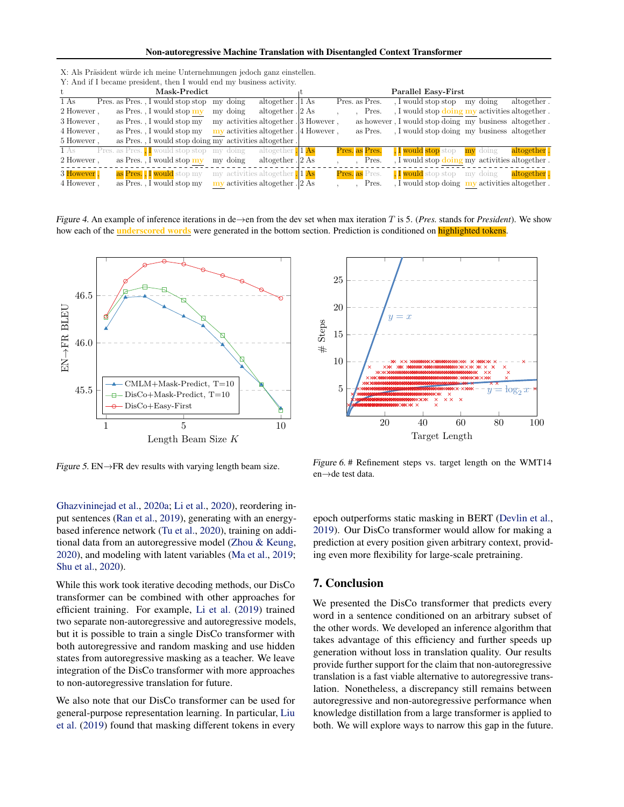#### Non-autoregressive Machine Translation with Disentangled Context Transformer

<span id="page-8-0"></span>

| X: Als Präsident würde ich meine Unternehmungen jedoch ganz einstellen. |                                                        |                                       |                             |  |                       |                                                        |                         |  |
|-------------------------------------------------------------------------|--------------------------------------------------------|---------------------------------------|-----------------------------|--|-----------------------|--------------------------------------------------------|-------------------------|--|
| Y: And if I became president, then I would end my business activity.    |                                                        |                                       |                             |  |                       |                                                        |                         |  |
|                                                                         | Mask-Predict                                           |                                       |                             |  |                       | Parallel Easy-First                                    |                         |  |
| 1As                                                                     | Pres. as Pres. $\,$ I would stop stop my doing         |                                       | altogether . 1 As           |  | Pres. as Pres.        | $\overline{I}$ would stop stop my doing                | altogether.             |  |
| 2 However,                                                              | as Pres. , I would stop $my$                           | my doing                              | altogether $.2$ As          |  | Pres.                 | , I would stop doing my activities altogether.         |                         |  |
| 3 However,                                                              | as Pres. I would stop my                               | my activities altogether . 3 However, |                             |  |                       | as however, I would stop doing my business altogether. |                         |  |
| 4 However,                                                              | as Pres. I would stop my                               | my activities altogether . 4 However, |                             |  | as Pres.              | , I would stop doing my business altogether            |                         |  |
| 5 However,                                                              | as Pres., I would stop doing my activities altogether. |                                       |                             |  |                       |                                                        |                         |  |
| 1As                                                                     | Pres. as Pres. $\blacksquare$ would stop stop my doing |                                       | altogether 1 As             |  | Pres. as Pres.        | , I would stop stop                                    | altogether.<br>my doing |  |
| 2 However,                                                              | as Pres. , I would stop $my$                           | my doing                              | altogether $\frac{1}{2}$ As |  | Pres.                 | , I would stop doing my activities altogether.         |                         |  |
| 3 However,                                                              | as Pres., I would stop my                              | my activities altogether 1 As         |                             |  | <b>Pres.</b> as Pres. | . I would stop stop my doing                           | altogether.             |  |
| 4 However,                                                              | as Pres. I would stop my                               | my activities altogether . 2 As       |                             |  | Pres.                 | , I would stop doing $my$ activities altogether.       |                         |  |

Figure 4. An example of inference iterations in de→en from the dev set when max iteration T is 5. (*Pres.* stands for *President*). We show how each of the **underscored words** were generated in the bottom section. Prediction is conditioned on **highlighted tokens** 



Figure 5. EN→FR dev results with varying length beam size.

[Ghazvininejad et al.,](#page-9-0) [2020a;](#page-9-0) [Li et al.,](#page-9-0) [2020\)](#page-9-0), reordering input sentences [\(Ran et al.,](#page-10-0) [2019\)](#page-10-0), generating with an energybased inference network [\(Tu et al.,](#page-10-0) [2020\)](#page-10-0), training on additional data from an autoregressive model [\(Zhou & Keung,](#page-11-0) [2020\)](#page-11-0), and modeling with latent variables [\(Ma et al.,](#page-10-0) [2019;](#page-10-0) [Shu et al.,](#page-10-0) [2020\)](#page-10-0).

While this work took iterative decoding methods, our DisCo transformer can be combined with other approaches for efficient training. For example, [Li et al.](#page-9-0) [\(2019\)](#page-9-0) trained two separate non-autoregressive and autoregressive models, but it is possible to train a single DisCo transformer with both autoregressive and random masking and use hidden states from autoregressive masking as a teacher. We leave integration of the DisCo transformer with more approaches to non-autoregressive translation for future.

We also note that our DisCo transformer can be used for general-purpose representation learning. In particular, [Liu](#page-10-0) [et al.](#page-10-0) [\(2019\)](#page-10-0) found that masking different tokens in every



Figure 6. # Refinement steps vs. target length on the WMT14 en→de test data.

epoch outperforms static masking in BERT [\(Devlin et al.,](#page-9-0) [2019\)](#page-9-0). Our DisCo transformer would allow for making a prediction at every position given arbitrary context, providing even more flexibility for large-scale pretraining.

# 7. Conclusion

We presented the DisCo transformer that predicts every word in a sentence conditioned on an arbitrary subset of the other words. We developed an inference algorithm that takes advantage of this efficiency and further speeds up generation without loss in translation quality. Our results provide further support for the claim that non-autoregressive translation is a fast viable alternative to autoregressive translation. Nonetheless, a discrepancy still remains between autoregressive and non-autoregressive performance when knowledge distillation from a large transformer is applied to both. We will explore ways to narrow this gap in the future.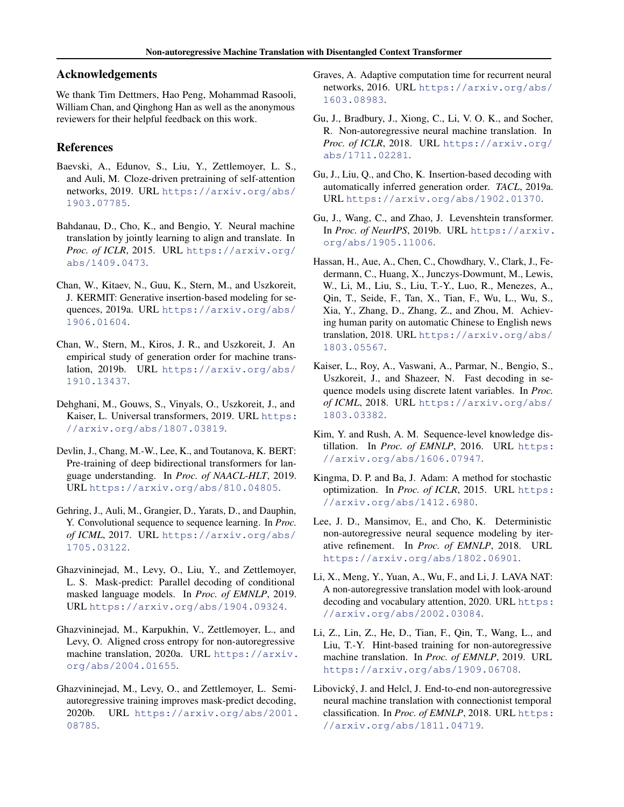# <span id="page-9-0"></span>Acknowledgements

We thank Tim Dettmers, Hao Peng, Mohammad Rasooli, William Chan, and Qinghong Han as well as the anonymous reviewers for their helpful feedback on this work.

# **References**

- Baevski, A., Edunov, S., Liu, Y., Zettlemoyer, L. S., and Auli, M. Cloze-driven pretraining of self-attention networks, 2019. URL [https://arxiv.org/abs/](https://arxiv.org/abs/1903.07785) [1903.07785](https://arxiv.org/abs/1903.07785).
- Bahdanau, D., Cho, K., and Bengio, Y. Neural machine translation by jointly learning to align and translate. In *Proc. of ICLR*, 2015. URL [https://arxiv.org/](https://arxiv.org/abs/1409.0473) [abs/1409.0473](https://arxiv.org/abs/1409.0473).
- Chan, W., Kitaev, N., Guu, K., Stern, M., and Uszkoreit, J. KERMIT: Generative insertion-based modeling for sequences, 2019a. URL [https://arxiv.org/abs/](https://arxiv.org/abs/1906.01604) [1906.01604](https://arxiv.org/abs/1906.01604).
- Chan, W., Stern, M., Kiros, J. R., and Uszkoreit, J. An empirical study of generation order for machine translation, 2019b. URL [https://arxiv.org/abs/](https://arxiv.org/abs/1910.13437) [1910.13437](https://arxiv.org/abs/1910.13437).
- Dehghani, M., Gouws, S., Vinyals, O., Uszkoreit, J., and Kaiser, L. Universal transformers, 2019. URL [https:](https://arxiv.org/abs/1807.03819) [//arxiv.org/abs/1807.03819](https://arxiv.org/abs/1807.03819).
- Devlin, J., Chang, M.-W., Lee, K., and Toutanova, K. BERT: Pre-training of deep bidirectional transformers for language understanding. In *Proc. of NAACL-HLT*, 2019. URL <https://arxiv.org/abs/810.04805>.
- Gehring, J., Auli, M., Grangier, D., Yarats, D., and Dauphin, Y. Convolutional sequence to sequence learning. In *Proc. of ICML*, 2017. URL [https://arxiv.org/abs/](https://arxiv.org/abs/1705.03122) [1705.03122](https://arxiv.org/abs/1705.03122).
- Ghazvininejad, M., Levy, O., Liu, Y., and Zettlemoyer, L. S. Mask-predict: Parallel decoding of conditional masked language models. In *Proc. of EMNLP*, 2019. URL <https://arxiv.org/abs/1904.09324>.
- Ghazvininejad, M., Karpukhin, V., Zettlemoyer, L., and Levy, O. Aligned cross entropy for non-autoregressive machine translation, 2020a. URL [https://arxiv.](https://arxiv.org/abs/2004.01655) [org/abs/2004.01655](https://arxiv.org/abs/2004.01655).
- Ghazvininejad, M., Levy, O., and Zettlemoyer, L. Semiautoregressive training improves mask-predict decoding, 2020b. URL [https://arxiv.org/abs/2001.](https://arxiv.org/abs/2001.08785) [08785](https://arxiv.org/abs/2001.08785).
- Graves, A. Adaptive computation time for recurrent neural networks, 2016. URL [https://arxiv.org/abs/](https://arxiv.org/abs/1603.08983) [1603.08983](https://arxiv.org/abs/1603.08983).
- Gu, J., Bradbury, J., Xiong, C., Li, V. O. K., and Socher, R. Non-autoregressive neural machine translation. In *Proc. of ICLR*, 2018. URL [https://arxiv.org/](https://arxiv.org/abs/1711.02281) [abs/1711.02281](https://arxiv.org/abs/1711.02281).
- Gu, J., Liu, Q., and Cho, K. Insertion-based decoding with automatically inferred generation order. *TACL*, 2019a. URL <https://arxiv.org/abs/1902.01370>.
- Gu, J., Wang, C., and Zhao, J. Levenshtein transformer. In *Proc. of NeurIPS*, 2019b. URL [https://arxiv.](https://arxiv.org/abs/1905.11006) [org/abs/1905.11006](https://arxiv.org/abs/1905.11006).
- Hassan, H., Aue, A., Chen, C., Chowdhary, V., Clark, J., Federmann, C., Huang, X., Junczys-Dowmunt, M., Lewis, W., Li, M., Liu, S., Liu, T.-Y., Luo, R., Menezes, A., Qin, T., Seide, F., Tan, X., Tian, F., Wu, L., Wu, S., Xia, Y., Zhang, D., Zhang, Z., and Zhou, M. Achieving human parity on automatic Chinese to English news translation, 2018. URL [https://arxiv.org/abs/](https://arxiv.org/abs/1803.05567) [1803.05567](https://arxiv.org/abs/1803.05567).
- Kaiser, L., Roy, A., Vaswani, A., Parmar, N., Bengio, S., Uszkoreit, J., and Shazeer, N. Fast decoding in sequence models using discrete latent variables. In *Proc. of ICML*, 2018. URL [https://arxiv.org/abs/](https://arxiv.org/abs/1803.03382) [1803.03382](https://arxiv.org/abs/1803.03382).
- Kim, Y. and Rush, A. M. Sequence-level knowledge distillation. In *Proc. of EMNLP*, 2016. URL [https:](https://arxiv.org/abs/1606.07947) [//arxiv.org/abs/1606.07947](https://arxiv.org/abs/1606.07947).
- Kingma, D. P. and Ba, J. Adam: A method for stochastic optimization. In *Proc. of ICLR*, 2015. URL [https:](https://arxiv.org/abs/1412.6980) [//arxiv.org/abs/1412.6980](https://arxiv.org/abs/1412.6980).
- Lee, J. D., Mansimov, E., and Cho, K. Deterministic non-autoregressive neural sequence modeling by iterative refinement. In *Proc. of EMNLP*, 2018. URL <https://arxiv.org/abs/1802.06901>.
- Li, X., Meng, Y., Yuan, A., Wu, F., and Li, J. LAVA NAT: A non-autoregressive translation model with look-around decoding and vocabulary attention, 2020. URL [https:](https://arxiv.org/abs/2002.03084) [//arxiv.org/abs/2002.03084](https://arxiv.org/abs/2002.03084).
- Li, Z., Lin, Z., He, D., Tian, F., Qin, T., Wang, L., and Liu, T.-Y. Hint-based training for non-autoregressive machine translation. In *Proc. of EMNLP*, 2019. URL <https://arxiv.org/abs/1909.06708>.
- Libovicky, J. and Helcl, J. End-to-end non-autoregressive ´ neural machine translation with connectionist temporal classification. In *Proc. of EMNLP*, 2018. URL [https:](https://arxiv.org/abs/1811.04719) [//arxiv.org/abs/1811.04719](https://arxiv.org/abs/1811.04719).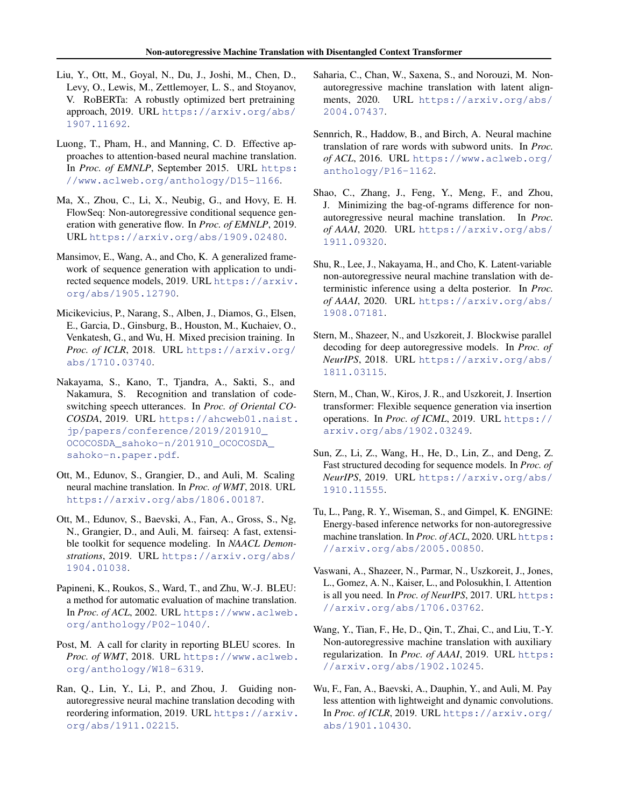- <span id="page-10-0"></span>Liu, Y., Ott, M., Goyal, N., Du, J., Joshi, M., Chen, D., Levy, O., Lewis, M., Zettlemoyer, L. S., and Stoyanov, V. RoBERTa: A robustly optimized bert pretraining approach, 2019. URL [https://arxiv.org/abs/](https://arxiv.org/abs/1907.11692) [1907.11692](https://arxiv.org/abs/1907.11692).
- Luong, T., Pham, H., and Manning, C. D. Effective approaches to attention-based neural machine translation. In *Proc. of EMNLP*, September 2015. URL [https:](https://www.aclweb.org/anthology/D15-1166) [//www.aclweb.org/anthology/D15-1166](https://www.aclweb.org/anthology/D15-1166).
- Ma, X., Zhou, C., Li, X., Neubig, G., and Hovy, E. H. FlowSeq: Non-autoregressive conditional sequence generation with generative flow. In *Proc. of EMNLP*, 2019. URL <https://arxiv.org/abs/1909.02480>.
- Mansimov, E., Wang, A., and Cho, K. A generalized framework of sequence generation with application to undirected sequence models, 2019. URL [https://arxiv.](https://arxiv.org/abs/1905.12790) [org/abs/1905.12790](https://arxiv.org/abs/1905.12790).
- Micikevicius, P., Narang, S., Alben, J., Diamos, G., Elsen, E., Garcia, D., Ginsburg, B., Houston, M., Kuchaiev, O., Venkatesh, G., and Wu, H. Mixed precision training. In *Proc. of ICLR*, 2018. URL [https://arxiv.org/](https://arxiv.org/abs/1710.03740) [abs/1710.03740](https://arxiv.org/abs/1710.03740).
- Nakayama, S., Kano, T., Tjandra, A., Sakti, S., and Nakamura, S. Recognition and translation of codeswitching speech utterances. In *Proc. of Oriental CO-COSDA*, 2019. URL [https://ahcweb01.naist.](https://ahcweb01.naist.jp/papers/conference/2019/201910_OCOCOSDA_sahoko-n/201910_OCOCOSDA_sahoko-n.paper.pdf) [jp/papers/conference/2019/201910\\_](https://ahcweb01.naist.jp/papers/conference/2019/201910_OCOCOSDA_sahoko-n/201910_OCOCOSDA_sahoko-n.paper.pdf) [OCOCOSDA\\_sahoko-n/201910\\_OCOCOSDA\\_](https://ahcweb01.naist.jp/papers/conference/2019/201910_OCOCOSDA_sahoko-n/201910_OCOCOSDA_sahoko-n.paper.pdf) [sahoko-n.paper.pdf](https://ahcweb01.naist.jp/papers/conference/2019/201910_OCOCOSDA_sahoko-n/201910_OCOCOSDA_sahoko-n.paper.pdf).
- Ott, M., Edunov, S., Grangier, D., and Auli, M. Scaling neural machine translation. In *Proc. of WMT*, 2018. URL <https://arxiv.org/abs/1806.00187>.
- Ott, M., Edunov, S., Baevski, A., Fan, A., Gross, S., Ng, N., Grangier, D., and Auli, M. fairseq: A fast, extensible toolkit for sequence modeling. In *NAACL Demonstrations*, 2019. URL [https://arxiv.org/abs/](https://arxiv.org/abs/1904.01038) [1904.01038](https://arxiv.org/abs/1904.01038).
- Papineni, K., Roukos, S., Ward, T., and Zhu, W.-J. BLEU: a method for automatic evaluation of machine translation. In *Proc. of ACL*, 2002. URL [https://www.aclweb.](https://www.aclweb.org/anthology/P02-1040/) [org/anthology/P02-1040/](https://www.aclweb.org/anthology/P02-1040/).
- Post, M. A call for clarity in reporting BLEU scores. In Proc. of WMT, 2018. URL [https://www.aclweb.](https://www.aclweb.org/anthology/W18-6319) [org/anthology/W18-6319](https://www.aclweb.org/anthology/W18-6319).
- Ran, Q., Lin, Y., Li, P., and Zhou, J. Guiding nonautoregressive neural machine translation decoding with reordering information, 2019. URL [https://arxiv.](https://arxiv.org/abs/1911.02215) [org/abs/1911.02215](https://arxiv.org/abs/1911.02215).
- Saharia, C., Chan, W., Saxena, S., and Norouzi, M. Nonautoregressive machine translation with latent alignments, 2020. URL [https://arxiv.org/abs/](https://arxiv.org/abs/2004.07437) [2004.07437](https://arxiv.org/abs/2004.07437).
- Sennrich, R., Haddow, B., and Birch, A. Neural machine translation of rare words with subword units. In *Proc. of ACL*, 2016. URL [https://www.aclweb.org/](https://www.aclweb.org/anthology/P16-1162) [anthology/P16-1162](https://www.aclweb.org/anthology/P16-1162).
- Shao, C., Zhang, J., Feng, Y., Meng, F., and Zhou, J. Minimizing the bag-of-ngrams difference for nonautoregressive neural machine translation. In *Proc. of AAAI*, 2020. URL [https://arxiv.org/abs/](https://arxiv.org/abs/1911.09320) [1911.09320](https://arxiv.org/abs/1911.09320).
- Shu, R., Lee, J., Nakayama, H., and Cho, K. Latent-variable non-autoregressive neural machine translation with deterministic inference using a delta posterior. In *Proc. of AAAI*, 2020. URL [https://arxiv.org/abs/](https://arxiv.org/abs/1908.07181) [1908.07181](https://arxiv.org/abs/1908.07181).
- Stern, M., Shazeer, N., and Uszkoreit, J. Blockwise parallel decoding for deep autoregressive models. In *Proc. of NeurIPS*, 2018. URL [https://arxiv.org/abs/](https://arxiv.org/abs/1811.03115) [1811.03115](https://arxiv.org/abs/1811.03115).
- Stern, M., Chan, W., Kiros, J. R., and Uszkoreit, J. Insertion transformer: Flexible sequence generation via insertion operations. In *Proc. of ICML*, 2019. URL [https://](https://arxiv.org/abs/1902.03249) [arxiv.org/abs/1902.03249](https://arxiv.org/abs/1902.03249).
- Sun, Z., Li, Z., Wang, H., He, D., Lin, Z., and Deng, Z. Fast structured decoding for sequence models. In *Proc. of NeurIPS*, 2019. URL [https://arxiv.org/abs/](https://arxiv.org/abs/1910.11555) [1910.11555](https://arxiv.org/abs/1910.11555).
- Tu, L., Pang, R. Y., Wiseman, S., and Gimpel, K. ENGINE: Energy-based inference networks for non-autoregressive machine translation. In *Proc. of ACL*, 2020. URL [https:](https://arxiv.org/abs/2005.00850) [//arxiv.org/abs/2005.00850](https://arxiv.org/abs/2005.00850).
- Vaswani, A., Shazeer, N., Parmar, N., Uszkoreit, J., Jones, L., Gomez, A. N., Kaiser, L., and Polosukhin, I. Attention is all you need. In *Proc. of NeurIPS*, 2017. URL [https:](https://arxiv.org/abs/1706.03762) [//arxiv.org/abs/1706.03762](https://arxiv.org/abs/1706.03762).
- Wang, Y., Tian, F., He, D., Qin, T., Zhai, C., and Liu, T.-Y. Non-autoregressive machine translation with auxiliary regularization. In *Proc. of AAAI*, 2019. URL [https:](https://arxiv.org/abs/1902.10245) [//arxiv.org/abs/1902.10245](https://arxiv.org/abs/1902.10245).
- Wu, F., Fan, A., Baevski, A., Dauphin, Y., and Auli, M. Pay less attention with lightweight and dynamic convolutions. In *Proc. of ICLR*, 2019. URL [https://arxiv.org/](https://arxiv.org/abs/1901.10430) [abs/1901.10430](https://arxiv.org/abs/1901.10430).